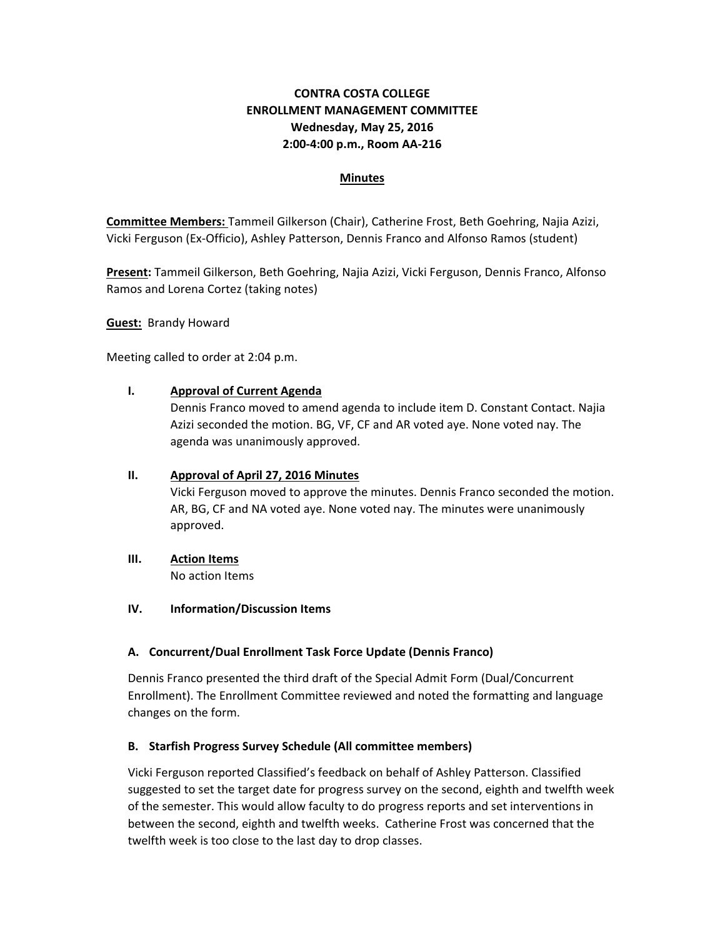## **CONTRA COSTA COLLEGE ENROLLMENT MANAGEMENT COMMITTEE Wednesday, May 25, 2016 2:00‐4:00 p.m., Room AA‐216**

### **Minutes**

**Committee Members:** Tammeil Gilkerson (Chair), Catherine Frost, Beth Goehring, Najia Azizi, Vicki Ferguson (Ex‐Officio), Ashley Patterson, Dennis Franco and Alfonso Ramos (student)

**Present:** Tammeil Gilkerson, Beth Goehring, Najia Azizi, Vicki Ferguson, Dennis Franco, Alfonso Ramos and Lorena Cortez (taking notes)

**Guest:** Brandy Howard

Meeting called to order at 2:04 p.m.

### **I. Approval of Current Agenda**

Dennis Franco moved to amend agenda to include item D. Constant Contact. Najia Azizi seconded the motion. BG, VF, CF and AR voted aye. None voted nay. The agenda was unanimously approved.

#### **II. Approval of April 27, 2016 Minutes**

Vicki Ferguson moved to approve the minutes. Dennis Franco seconded the motion. AR, BG, CF and NA voted aye. None voted nay. The minutes were unanimously approved.

# **III. Action Items**

No action Items

### **IV. Information/Discussion Items**

### **A. Concurrent/Dual Enrollment Task Force Update (Dennis Franco)**

Dennis Franco presented the third draft of the Special Admit Form (Dual/Concurrent Enrollment). The Enrollment Committee reviewed and noted the formatting and language changes on the form.

### **B. Starfish Progress Survey Schedule (All committee members)**

Vicki Ferguson reported Classified's feedback on behalf of Ashley Patterson. Classified suggested to set the target date for progress survey on the second, eighth and twelfth week of the semester. This would allow faculty to do progress reports and set interventions in between the second, eighth and twelfth weeks. Catherine Frost was concerned that the twelfth week is too close to the last day to drop classes.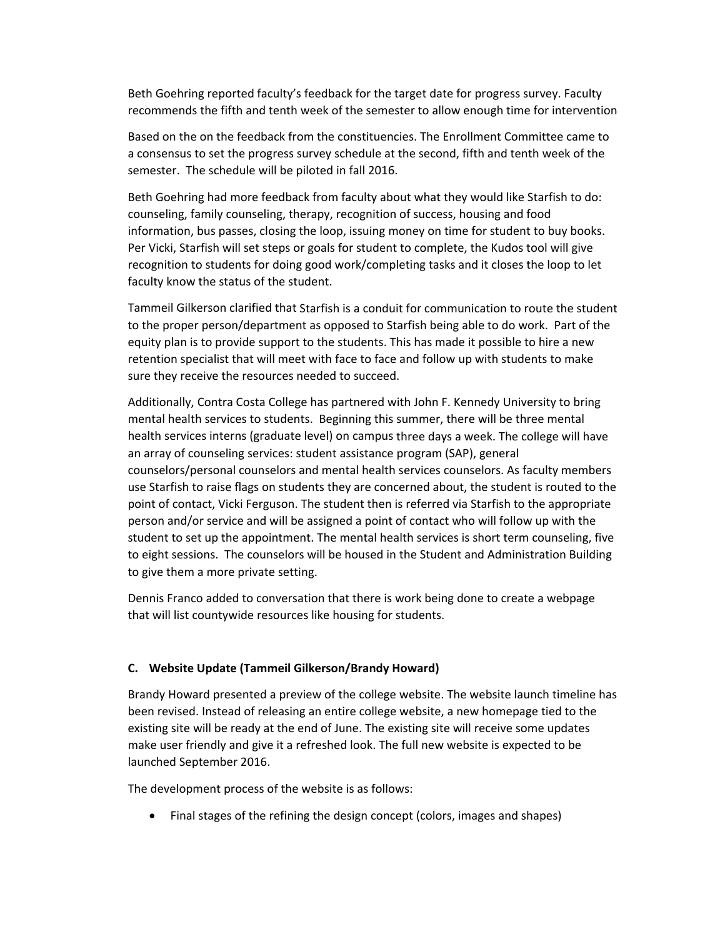Beth Goehring reported faculty's feedback for the target date for progress survey. Faculty recommends the fifth and tenth week of the semester to allow enough time for intervention

Based on the on the feedback from the constituencies. The Enrollment Committee came to a consensus to set the progress survey schedule at the second, fifth and tenth week of the semester. The schedule will be piloted in fall 2016.

Beth Goehring had more feedback from faculty about what they would like Starfish to do: counseling, family counseling, therapy, recognition of success, housing and food information, bus passes, closing the loop, issuing money on time for student to buy books. Per Vicki, Starfish will set steps or goals for student to complete, the Kudos tool will give recognition to students for doing good work/completing tasks and it closes the loop to let faculty know the status of the student.

Tammeil Gilkerson clarified that Starfish is a conduit for communication to route the student to the proper person/department as opposed to Starfish being able to do work. Part of the equity plan is to provide support to the students. This has made it possible to hire a new retention specialist that will meet with face to face and follow up with students to make sure they receive the resources needed to succeed.

Additionally, Contra Costa College has partnered with John F. Kennedy University to bring mental health services to students. Beginning this summer, there will be three mental health services interns (graduate level) on campus three days a week. The college will have an array of counseling services: student assistance program (SAP), general counselors/personal counselors and mental health services counselors. As faculty members use Starfish to raise flags on students they are concerned about, the student is routed to the point of contact, Vicki Ferguson. The student then is referred via Starfish to the appropriate person and/or service and will be assigned a point of contact who will follow up with the student to set up the appointment. The mental health services is short term counseling, five to eight sessions. The counselors will be housed in the Student and Administration Building to give them a more private setting.

Dennis Franco added to conversation that there is work being done to create a webpage that will list countywide resources like housing for students.

#### **C. Website Update (Tammeil Gilkerson/Brandy Howard)**

Brandy Howard presented a preview of the college website. The website launch timeline has been revised. Instead of releasing an entire college website, a new homepage tied to the existing site will be ready at the end of June. The existing site will receive some updates make user friendly and give it a refreshed look. The full new website is expected to be launched September 2016.

The development process of the website is as follows:

Final stages of the refining the design concept (colors, images and shapes)